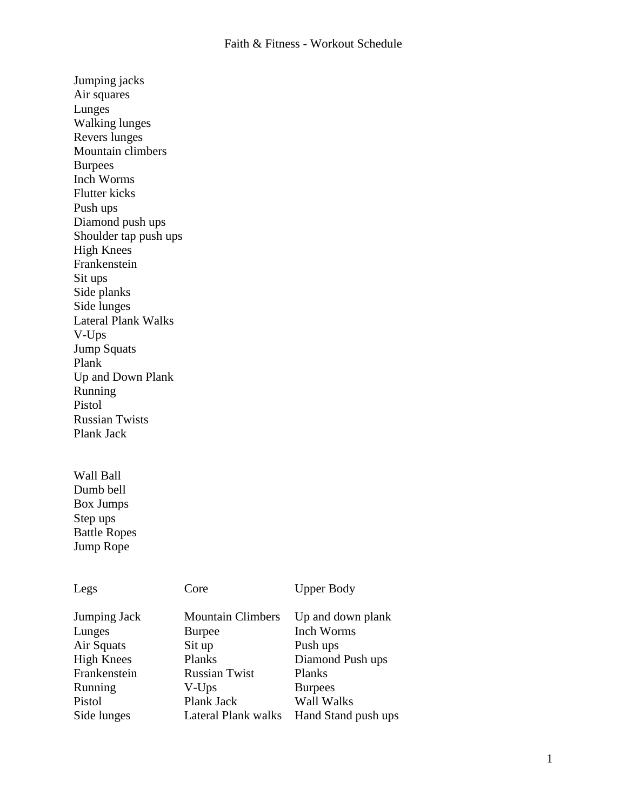Jumping jacks Air squares Lunges Walking lunges Revers lunges Mountain climbers Burpees Inch Worms Flutter kicks Push ups Diamond push ups Shoulder tap push ups High Knees Frankenstein Sit ups Side planks Side lunges Lateral Plank Walks V-Ups Jump Squats Plank Up and Down Plank Running Pistol Russian Twists Plank Jack

Wall Ball Dumb bell Box Jumps Step ups Battle Ropes Jump Rope

| Legs              | Core                     | <b>Upper Body</b>   |
|-------------------|--------------------------|---------------------|
| Jumping Jack      | <b>Mountain Climbers</b> | Up and down plank   |
| Lunges            | <b>Burpee</b>            | Inch Worms          |
| Air Squats        | Sit up                   | Push ups            |
| <b>High Knees</b> | Planks                   | Diamond Push ups    |
| Frankenstein      | <b>Russian Twist</b>     | <b>Planks</b>       |
| Running           | V-Ups                    | <b>Burpees</b>      |
| Pistol            | Plank Jack               | Wall Walks          |
| Side lunges       | Lateral Plank walks      | Hand Stand push ups |
|                   |                          |                     |